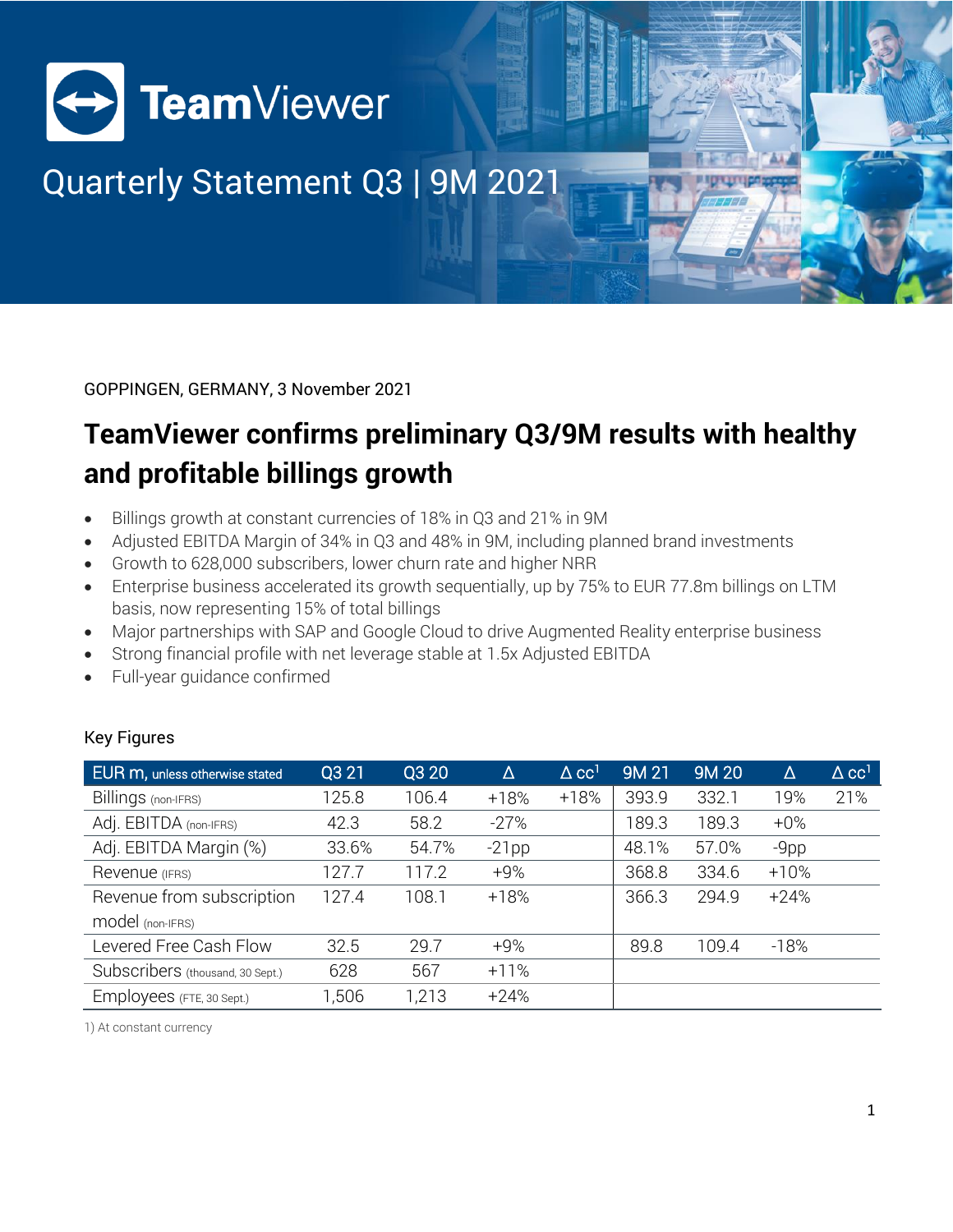

# Quarterly Statement Q3 | 9M 2021

GOPPINGEN, GERMANY, 3 November 2021

## **TeamViewer confirms preliminary Q3/9M results with healthy and profitable billings growth**

- Billings growth at constant currencies of 18% in Q3 and 21% in 9M
- Adjusted EBITDA Margin of 34% in Q3 and 48% in 9M, including planned brand investments
- Growth to 628,000 subscribers, lower churn rate and higher NRR
- Enterprise business accelerated its growth sequentially, up by 75% to EUR 77.8m billings on LTM basis, now representing 15% of total billings
- Major partnerships with SAP and Google Cloud to drive Augmented Reality enterprise business
- Strong financial profile with net leverage stable at 1.5x Adjusted EBITDA
- Full-year guidance confirmed

| <b>Key Figures</b> |  |
|--------------------|--|

| EUR m, unless otherwise stated   | Q3 21 | Q3 20 | Δ        | $\Delta$ cc <sup>1</sup> | <b>9M21</b> | <b>9M20</b> | $\Delta$ | $\Delta$ cc <sup>1</sup> |
|----------------------------------|-------|-------|----------|--------------------------|-------------|-------------|----------|--------------------------|
| Billings (non-IFRS)              | 125.8 | 106.4 | $+18%$   | $+18%$                   | 393.9       | 332.1       | 19%      | 21%                      |
| Adj. EBITDA (non-IFRS)           | 42.3  | 58.2  | $-27%$   |                          | 189.3       | 189.3       | $+0\%$   |                          |
| Adj. EBITDA Margin (%)           | 33.6% | 54.7% | $-21$ pp |                          | 48.1%       | 57.0%       | $-9$ pp  |                          |
| Revenue (IFRS)                   | 127.7 | 17.2  | $+9%$    |                          | 368.8       | 334.6       | $+10%$   |                          |
| Revenue from subscription        | 127.4 | 108.1 | $+18%$   |                          | 366.3       | 294.9       | $+24%$   |                          |
| model (non-IFRS)                 |       |       |          |                          |             |             |          |                          |
| Levered Free Cash Flow           | 32.5  | 29.7  | $+9%$    |                          | 89.8        | 109.4       | $-18%$   |                          |
| Subscribers (thousand, 30 Sept.) | 628   | 567   | $+11%$   |                          |             |             |          |                          |
| Employees (FTE, 30 Sept.)        | 1,506 | 1,213 | $+24%$   |                          |             |             |          |                          |

1) At constant currency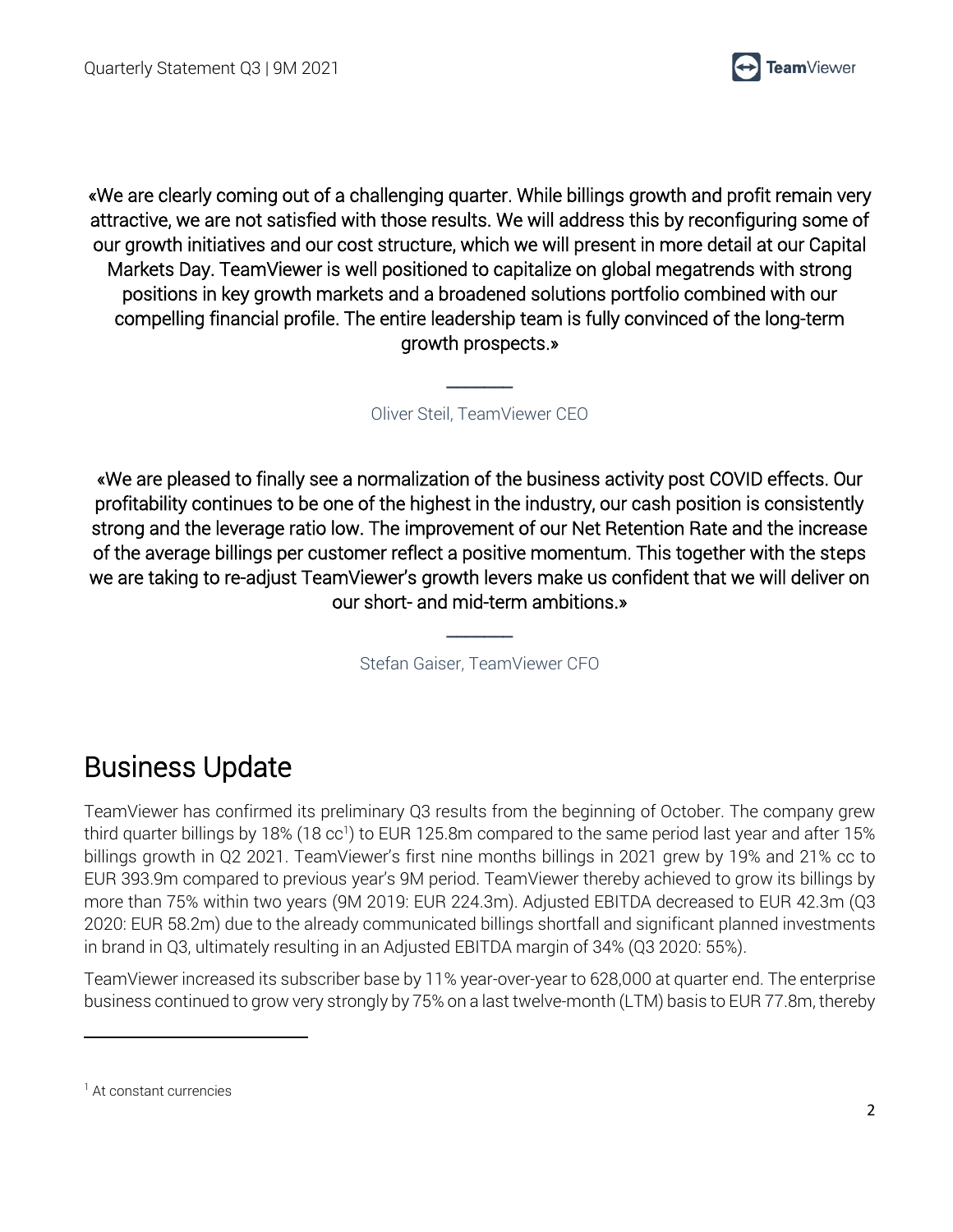

«We are clearly coming out of a challenging quarter. While billings growth and profit remain very attractive, we are not satisfied with those results. We will address this by reconfiguring some of our growth initiatives and our cost structure, which we will present in more detail at our Capital Markets Day. TeamViewer is well positioned to capitalize on global megatrends with strong positions in key growth markets and a broadened solutions portfolio combined with our compelling financial profile. The entire leadership team is fully convinced of the long-term growth prospects.»

Oliver Steil, TeamViewer CEO

 $\overline{\phantom{a}}$ 

«We are pleased to finally see a normalization of the business activity post COVID effects. Our profitability continues to be one of the highest in the industry, our cash position is consistently strong and the leverage ratio low. The improvement of our Net Retention Rate and the increase of the average billings per customer reflect a positive momentum. This together with the steps we are taking to re-adjust TeamViewer's growth levers make us confident that we will deliver on our short- and mid-term ambitions.»

Stefan Gaiser, TeamViewer CFO

 $\overline{\phantom{a}}$ 

### Business Update

TeamViewer has confirmed its preliminary Q3 results from the beginning of October. The company grew third quarter billings by 18% (18 cc<sup>1</sup>) to EUR 125.8m compared to the same period last year and after 15% billings growth in Q2 2021. TeamViewer's first nine months billings in 2021 grew by 19% and 21% cc to EUR 393.9m compared to previous year's 9M period. TeamViewer thereby achieved to grow its billings by more than 75% within two years (9M 2019: EUR 224.3m). Adjusted EBITDA decreased to EUR 42.3m (Q3 2020: EUR 58.2m) due to the already communicated billings shortfall and significant planned investments in brand in Q3, ultimately resulting in an Adjusted EBITDA margin of 34% (Q3 2020: 55%).

TeamViewer increased its subscriber base by 11% year-over-year to 628,000 at quarter end. The enterprise business continued to grow very strongly by 75% on a last twelve-month (LTM) basis to EUR 77.8m, thereby

<sup>&</sup>lt;sup>1</sup> At constant currencies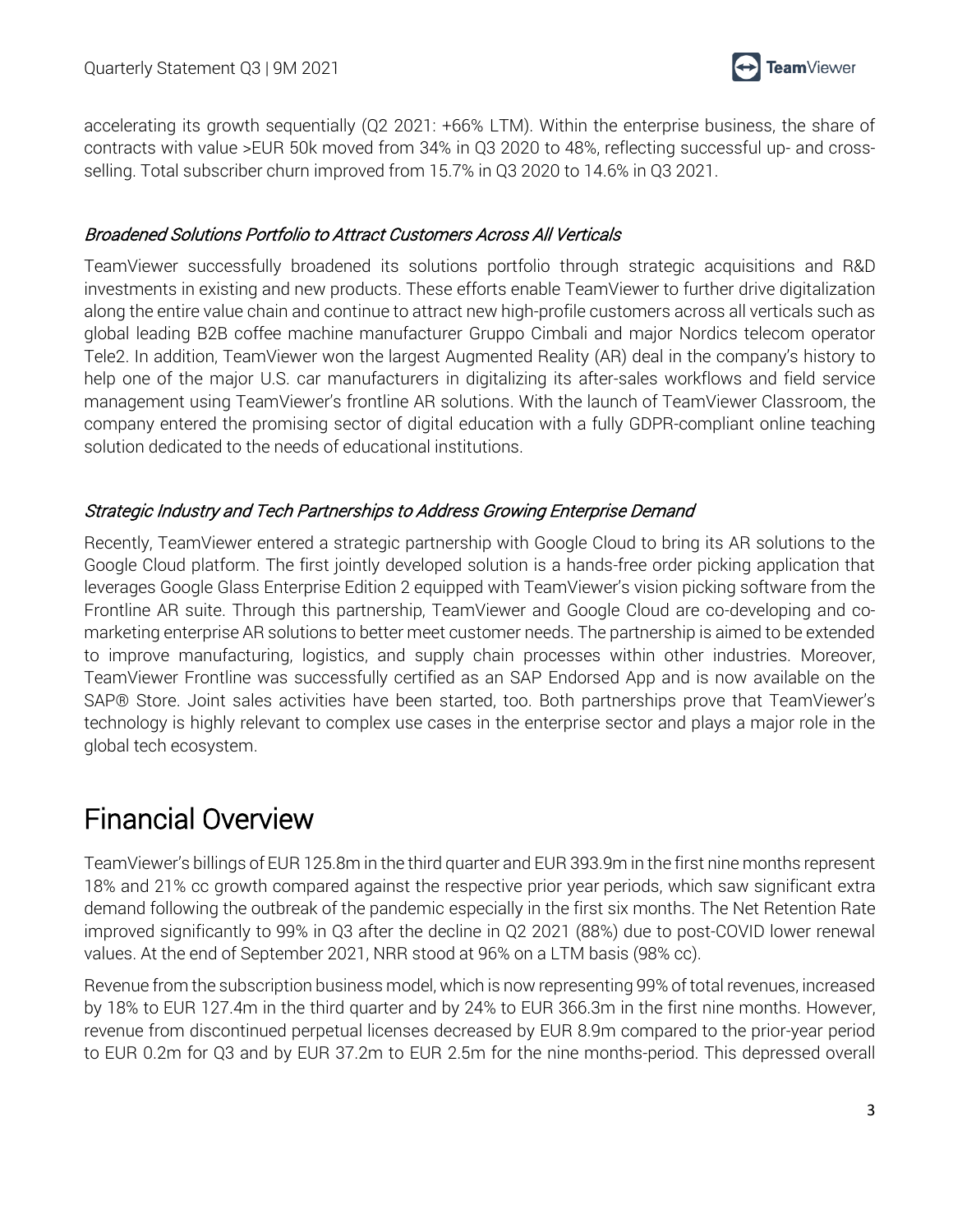

accelerating its growth sequentially (Q2 2021: +66% LTM). Within the enterprise business, the share of contracts with value >EUR 50k moved from 34% in Q3 2020 to 48%, reflecting successful up- and crossselling. Total subscriber churn improved from 15.7% in Q3 2020 to 14.6% in Q3 2021.

#### Broadened Solutions Portfolio to Attract Customers Across All Verticals

TeamViewer successfully broadened its solutions portfolio through strategic acquisitions and R&D investments in existing and new products. These efforts enable TeamViewer to further drive digitalization along the entire value chain and continue to attract new high-profile customers across all verticals such as global leading B2B coffee machine manufacturer Gruppo Cimbali and major Nordics telecom operator Tele2. In addition, TeamViewer won the largest Augmented Reality (AR) deal in the company's history to help one of the major U.S. car manufacturers in digitalizing its after-sales workflows and field service management using TeamViewer's frontline AR solutions. With the launch of TeamViewer Classroom, the company entered the promising sector of digital education with a fully GDPR-compliant online teaching solution dedicated to the needs of educational institutions.

#### Strategic Industry and Tech Partnerships to Address Growing Enterprise Demand

Recently, TeamViewer entered a strategic partnership with Google Cloud to bring its AR solutions to the Google Cloud platform. The first jointly developed solution is a hands-free order picking application that leverages Google Glass Enterprise Edition 2 equipped with TeamViewer's vision picking software from the Frontline AR suite. Through this partnership, TeamViewer and Google Cloud are co-developing and comarketing enterprise AR solutions to better meet customer needs. The partnership is aimed to be extended to improve manufacturing, logistics, and supply chain processes within other industries. Moreover, TeamViewer Frontline was successfully certified as an SAP Endorsed App and is now available on the SAP® Store. Joint sales activities have been started, too. Both partnerships prove that TeamViewer's technology is highly relevant to complex use cases in the enterprise sector and plays a major role in the global tech ecosystem.

### Financial Overview

TeamViewer's billings of EUR 125.8m in the third quarter and EUR 393.9m in the first nine months represent 18% and 21% cc growth compared against the respective prior year periods, which saw significant extra demand following the outbreak of the pandemic especially in the first six months. The Net Retention Rate improved significantly to 99% in Q3 after the decline in Q2 2021 (88%) due to post-COVID lower renewal values. At the end of September 2021, NRR stood at 96% on a LTM basis (98% cc).

Revenue from the subscription business model, which is now representing 99% of total revenues, increased by 18% to EUR 127.4m in the third quarter and by 24% to EUR 366.3m in the first nine months. However, revenue from discontinued perpetual licenses decreased by EUR 8.9m compared to the prior-year period to EUR 0.2m for Q3 and by EUR 37.2m to EUR 2.5m for the nine months-period. This depressed overall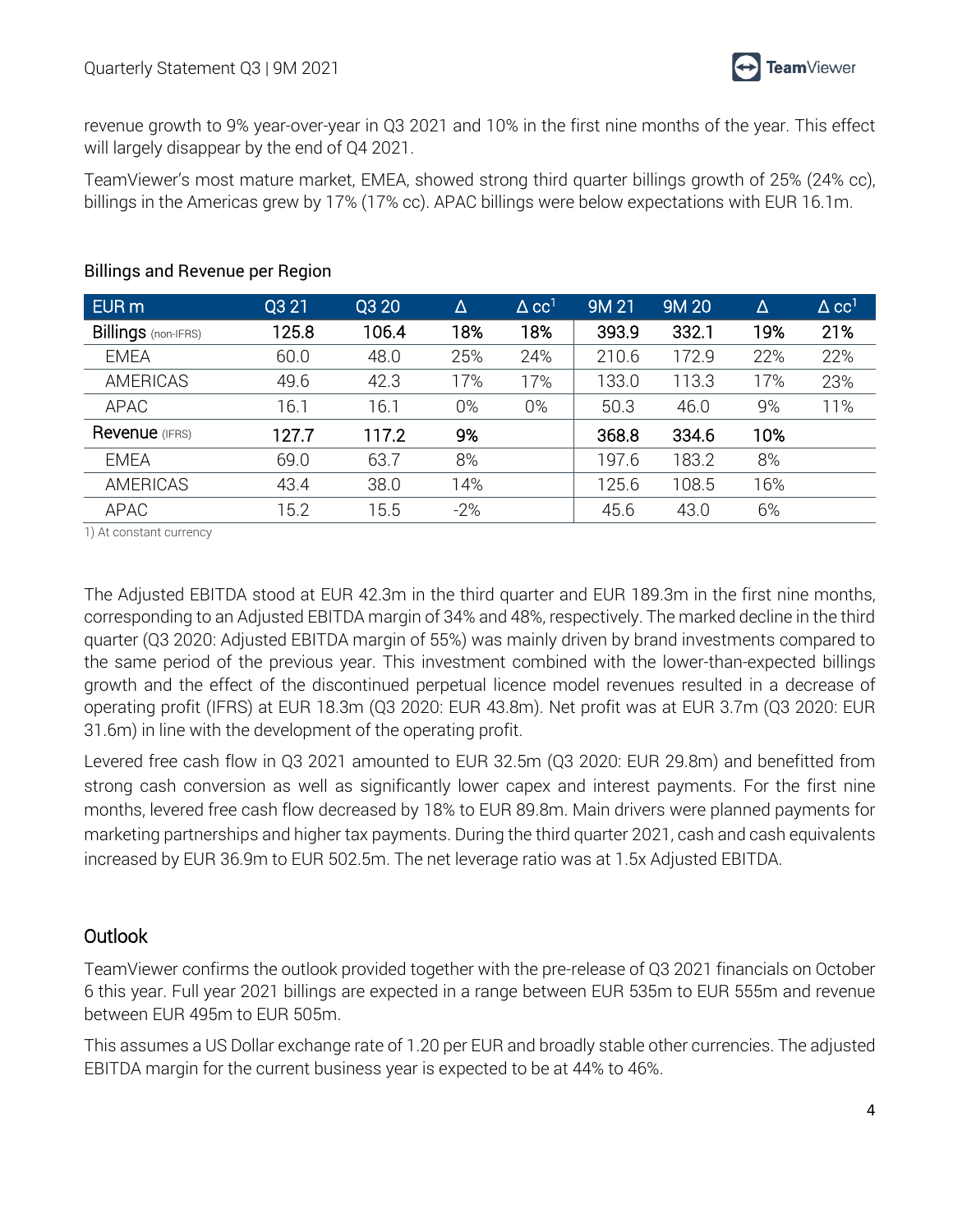revenue growth to 9% year-over-year in Q3 2021 and 10% in the first nine months of the year. This effect will largely disappear by the end of Q4 2021.

TeamViewer's most mature market, EMEA, showed strong third quarter billings growth of 25% (24% cc), billings in the Americas grew by 17% (17% cc). APAC billings were below expectations with EUR 16.1m.

| EUR <sub>m</sub>           | Q3 21 | Q3 20 | Δ     | $\Delta$ CC <sup>1</sup> | 9M 21 | <b>9M20</b> | Δ   | $\triangle$ CC <sup>1</sup> |
|----------------------------|-------|-------|-------|--------------------------|-------|-------------|-----|-----------------------------|
| <b>Billings</b> (non-IFRS) | 125.8 | 106.4 | 18%   | 18%                      | 393.9 | 332.1       | 19% | 21%                         |
| <b>EMEA</b>                | 60.0  | 48.0  | 25%   | 24%                      | 210.6 | 172.9       | 22% | 22%                         |
| <b>AMERICAS</b>            | 49.6  | 42.3  | 17%   | 17%                      | 133.0 | 113.3       | 17% | 23%                         |
| APAC                       | 16.1  | 16.1  | $0\%$ | 0%                       | 50.3  | 46.0        | 9%  | 11%                         |
| Revenue (IFRS)             | 127.7 | 117.2 | 9%    |                          | 368.8 | 334.6       | 10% |                             |
| <b>EMEA</b>                | 69.0  | 63.7  | 8%    |                          | 197.6 | 183.2       | 8%  |                             |
| <b>AMERICAS</b>            | 43.4  | 38.0  | 14%   |                          | 125.6 | 108.5       | 16% |                             |
| <b>APAC</b>                | 15.2  | 15.5  | $-2%$ |                          | 45.6  | 43.0        | 6%  |                             |

#### Billings and Revenue per Region

1) At constant currency

The Adjusted EBITDA stood at EUR 42.3m in the third quarter and EUR 189.3m in the first nine months, corresponding to an Adjusted EBITDA margin of 34% and 48%, respectively. The marked decline in the third quarter (Q3 2020: Adjusted EBITDA margin of 55%) was mainly driven by brand investments compared to the same period of the previous year. This investment combined with the lower-than-expected billings growth and the effect of the discontinued perpetual licence model revenues resulted in a decrease of operating profit (IFRS) at EUR 18.3m (Q3 2020: EUR 43.8m). Net profit was at EUR 3.7m (Q3 2020: EUR 31.6m) in line with the development of the operating profit.

Levered free cash flow in Q3 2021 amounted to EUR 32.5m (Q3 2020: EUR 29.8m) and benefitted from strong cash conversion as well as significantly lower capex and interest payments. For the first nine months, levered free cash flow decreased by 18% to EUR 89.8m. Main drivers were planned payments for marketing partnerships and higher tax payments. During the third quarter 2021, cash and cash equivalents increased by EUR 36.9m to EUR 502.5m. The net leverage ratio was at 1.5x Adjusted EBITDA.

### **Outlook**

TeamViewer confirms the outlook provided together with the pre-release of Q3 2021 financials on October 6 this year. Full year 2021 billings are expected in a range between EUR 535m to EUR 555m and revenue between EUR 495m to EUR 505m.

This assumes a US Dollar exchange rate of 1.20 per EUR and broadly stable other currencies. The adjusted EBITDA margin for the current business year is expected to be at 44% to 46%.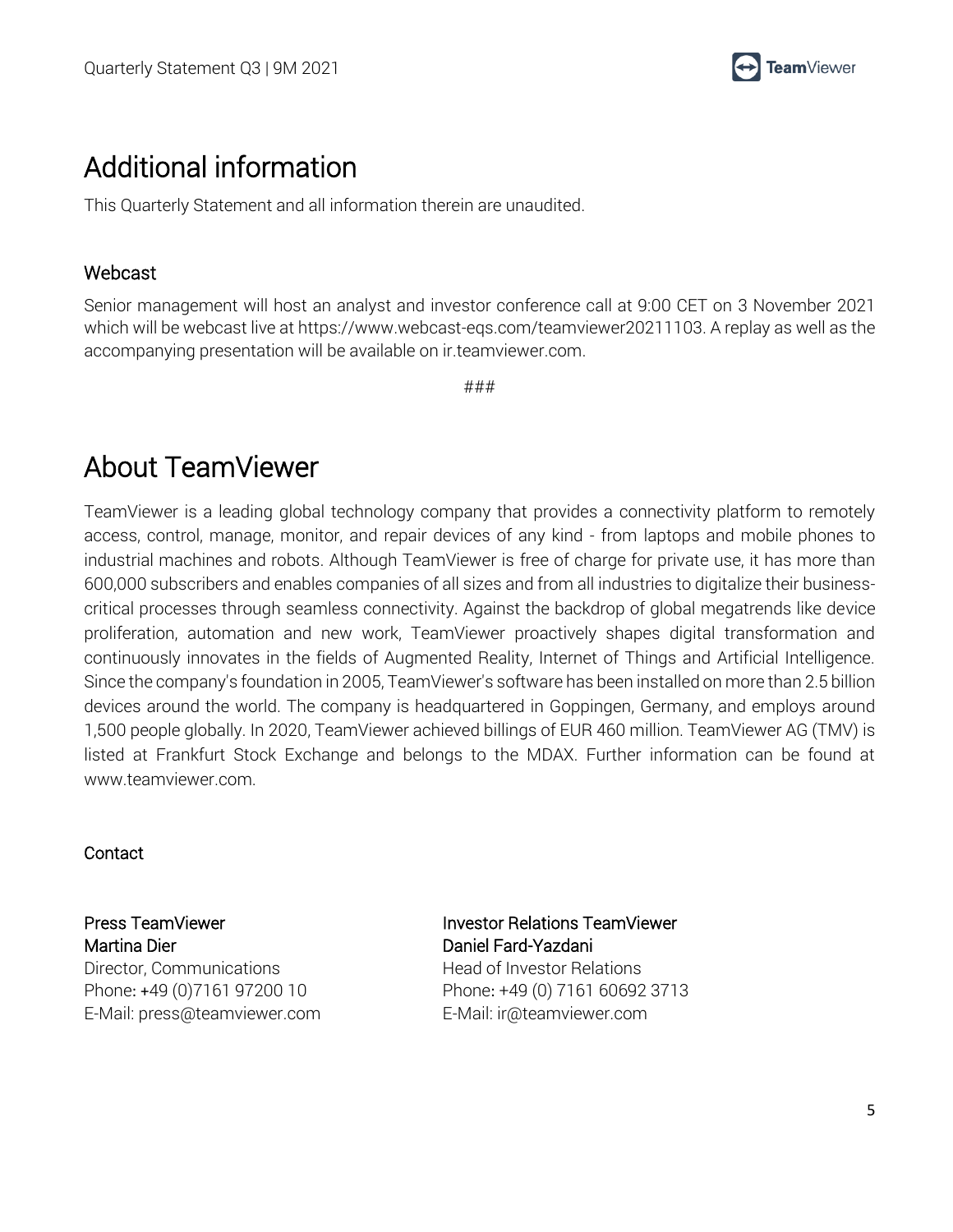

### Additional information

This Quarterly Statement and all information therein are unaudited.

#### Webcast

Senior management will host an analyst and investor conference call at 9:00 CET on 3 November 2021 which will be webcast live at https://www.webcast-eqs.com/teamviewer20211103. A replay as well as the accompanying presentation will be available on ir.teamviewer.com.

###

### About TeamViewer

TeamViewer is a leading global technology company that provides a connectivity platform to remotely access, control, manage, monitor, and repair devices of any kind - from laptops and mobile phones to industrial machines and robots. Although TeamViewer is free of charge for private use, it has more than 600,000 subscribers and enables companies of all sizes and from all industries to digitalize their businesscritical processes through seamless connectivity. Against the backdrop of global megatrends like device proliferation, automation and new work, TeamViewer proactively shapes digital transformation and continuously innovates in the fields of Augmented Reality, Internet of Things and Artificial Intelligence. Since the company's foundation in 2005, TeamViewer's software has been installed on more than 2.5 billion devices around the world. The company is headquartered in Goppingen, Germany, and employs around 1,500 people globally. In 2020, TeamViewer achieved billings of EUR 460 million. TeamViewer AG (TMV) is listed at Frankfurt Stock Exchange and belongs to the MDAX. Further information can be found at www.teamviewer.com.

**Contact** 

Press TeamViewer Martina Dier Director, Communications Phone: +49 (0)7161 97200 10 E-Mail: press@teamviewer.com Investor Relations TeamViewer Daniel Fard-Yazdani Head of Investor Relations Phone: +49 (0) 7161 60692 3713 E-Mail: ir@teamviewer.com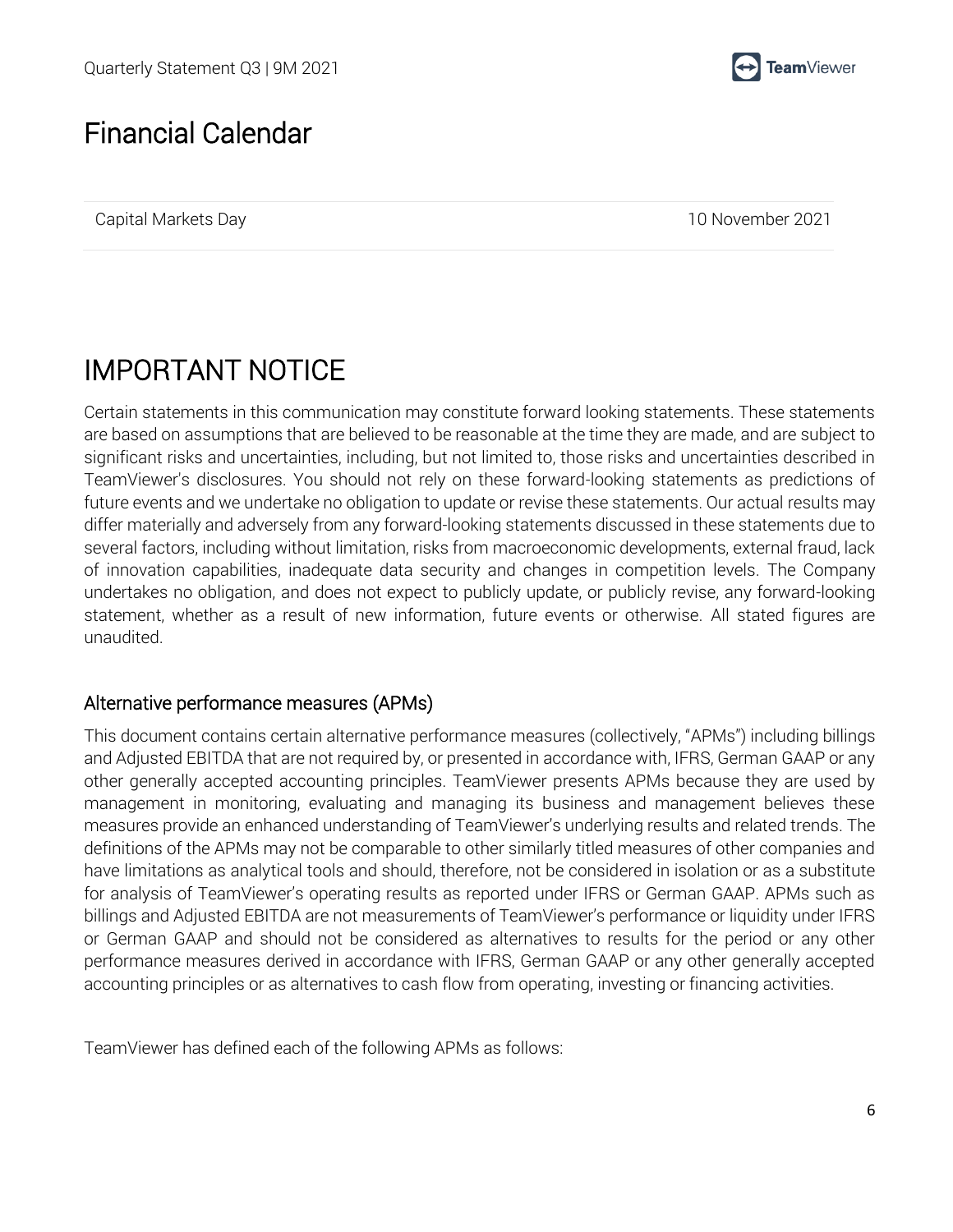

### Financial Calendar

Capital Markets Day 10 November 2021

## IMPORTANT NOTICE

Certain statements in this communication may constitute forward looking statements. These statements are based on assumptions that are believed to be reasonable at the time they are made, and are subject to significant risks and uncertainties, including, but not limited to, those risks and uncertainties described in TeamViewer's disclosures. You should not rely on these forward-looking statements as predictions of future events and we undertake no obligation to update or revise these statements. Our actual results may differ materially and adversely from any forward-looking statements discussed in these statements due to several factors, including without limitation, risks from macroeconomic developments, external fraud, lack of innovation capabilities, inadequate data security and changes in competition levels. The Company undertakes no obligation, and does not expect to publicly update, or publicly revise, any forward-looking statement, whether as a result of new information, future events or otherwise. All stated figures are unaudited.

#### Alternative performance measures (APMs)

This document contains certain alternative performance measures (collectively, "APMs") including billings and Adjusted EBITDA that are not required by, or presented in accordance with, IFRS, German GAAP or any other generally accepted accounting principles. TeamViewer presents APMs because they are used by management in monitoring, evaluating and managing its business and management believes these measures provide an enhanced understanding of TeamViewer's underlying results and related trends. The definitions of the APMs may not be comparable to other similarly titled measures of other companies and have limitations as analytical tools and should, therefore, not be considered in isolation or as a substitute for analysis of TeamViewer's operating results as reported under IFRS or German GAAP. APMs such as billings and Adjusted EBITDA are not measurements of TeamViewer's performance or liquidity under IFRS or German GAAP and should not be considered as alternatives to results for the period or any other performance measures derived in accordance with IFRS, German GAAP or any other generally accepted accounting principles or as alternatives to cash flow from operating, investing or financing activities.

TeamViewer has defined each of the following APMs as follows: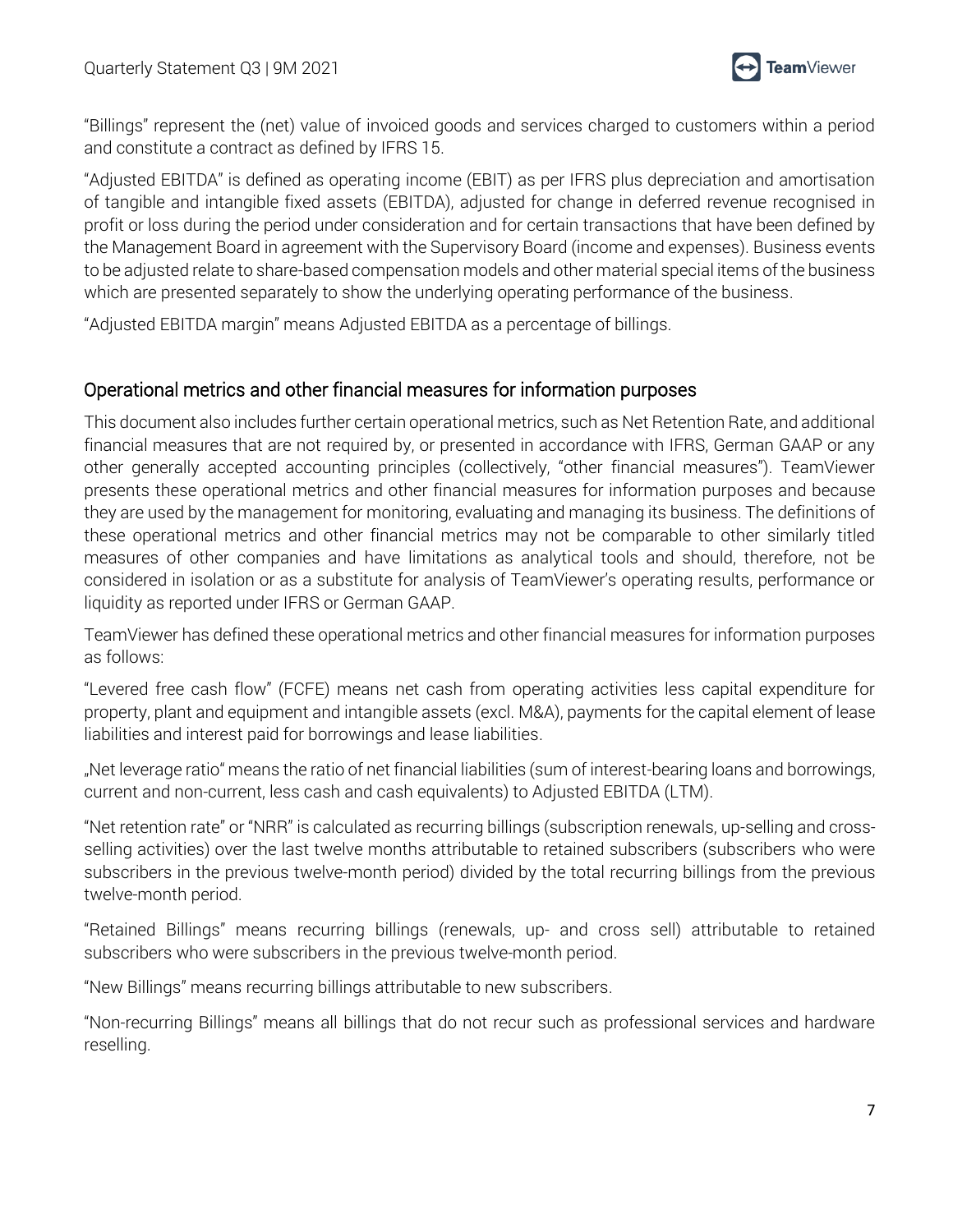

"Billings" represent the (net) value of invoiced goods and services charged to customers within a period and constitute a contract as defined by IFRS 15.

"Adjusted EBITDA" is defined as operating income (EBIT) as per IFRS plus depreciation and amortisation of tangible and intangible fixed assets (EBITDA), adjusted for change in deferred revenue recognised in profit or loss during the period under consideration and for certain transactions that have been defined by the Management Board in agreement with the Supervisory Board (income and expenses). Business events to be adjusted relate to share-based compensation models and other material special items of the business which are presented separately to show the underlying operating performance of the business.

"Adjusted EBITDA margin" means Adjusted EBITDA as a percentage of billings.

### Operational metrics and other financial measures for information purposes

This document also includes further certain operational metrics, such as Net Retention Rate, and additional financial measures that are not required by, or presented in accordance with IFRS, German GAAP or any other generally accepted accounting principles (collectively, "other financial measures"). TeamViewer presents these operational metrics and other financial measures for information purposes and because they are used by the management for monitoring, evaluating and managing its business. The definitions of these operational metrics and other financial metrics may not be comparable to other similarly titled measures of other companies and have limitations as analytical tools and should, therefore, not be considered in isolation or as a substitute for analysis of TeamViewer's operating results, performance or liquidity as reported under IFRS or German GAAP.

TeamViewer has defined these operational metrics and other financial measures for information purposes as follows:

"Levered free cash flow" (FCFE) means net cash from operating activities less capital expenditure for property, plant and equipment and intangible assets (excl. M&A), payments for the capital element of lease liabilities and interest paid for borrowings and lease liabilities.

"Net leverage ratio" means the ratio of net financial liabilities (sum of interest-bearing loans and borrowings, current and non-current, less cash and cash equivalents) to Adjusted EBITDA (LTM).

"Net retention rate" or "NRR" is calculated as recurring billings (subscription renewals, up-selling and crossselling activities) over the last twelve months attributable to retained subscribers (subscribers who were subscribers in the previous twelve-month period) divided by the total recurring billings from the previous twelve-month period.

"Retained Billings" means recurring billings (renewals, up- and cross sell) attributable to retained subscribers who were subscribers in the previous twelve-month period.

"New Billings" means recurring billings attributable to new subscribers.

"Non-recurring Billings" means all billings that do not recur such as professional services and hardware reselling.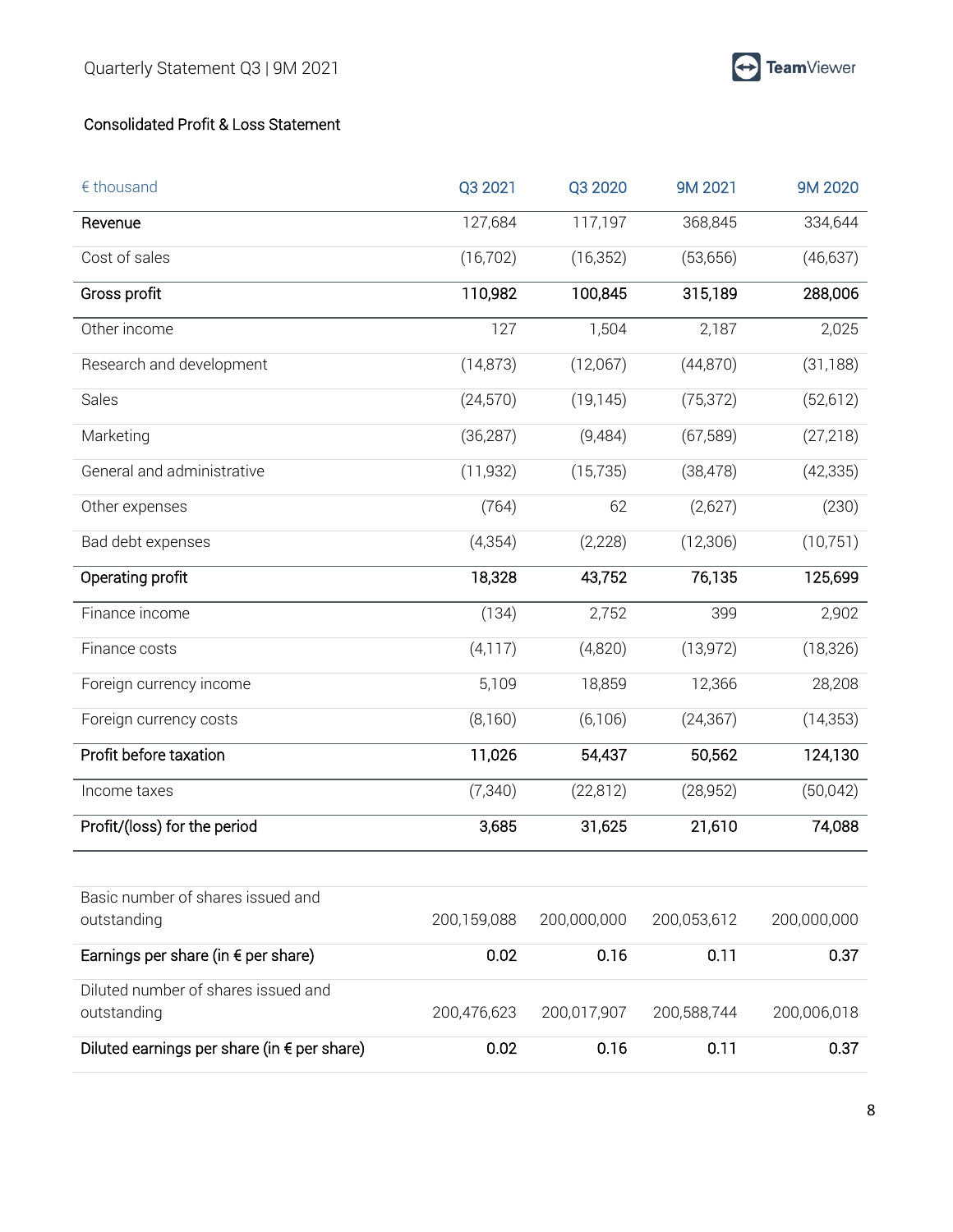### Consolidated Profit & Loss Statement

| $\epsilon$ thousand                          | Q3 2021     | Q3 2020     | 9M 2021     | 9M 2020     |
|----------------------------------------------|-------------|-------------|-------------|-------------|
| Revenue                                      | 127,684     | 117,197     | 368,845     | 334,644     |
| Cost of sales                                | (16, 702)   | (16, 352)   | (53,656)    | (46, 637)   |
| Gross profit                                 | 110,982     | 100,845     | 315,189     | 288,006     |
| Other income                                 | 127         | 1,504       | 2,187       | 2,025       |
| Research and development                     | (14, 873)   | (12,067)    | (44,870)    | (31, 188)   |
| Sales                                        | (24, 570)   | (19, 145)   | (75, 372)   | (52, 612)   |
| Marketing                                    | (36, 287)   | (9,484)     | (67, 589)   | (27, 218)   |
| General and administrative                   | (11, 932)   | (15, 735)   | (38, 478)   | (42, 335)   |
| Other expenses                               | (764)       | 62          | (2,627)     | (230)       |
| Bad debt expenses                            | (4, 354)    | (2,228)     | (12, 306)   | (10, 751)   |
| Operating profit                             | 18,328      | 43,752      | 76,135      | 125,699     |
| Finance income                               | (134)       | 2,752       | 399         | 2,902       |
| Finance costs                                | (4, 117)    | (4,820)     | (13, 972)   | (18, 326)   |
| Foreign currency income                      | 5,109       | 18,859      | 12,366      | 28,208      |
| Foreign currency costs                       | (8,160)     | (6,106)     | (24, 367)   | (14, 353)   |
| Profit before taxation                       | 11,026      | 54,437      | 50,562      | 124,130     |
| Income taxes                                 | (7, 340)    | (22, 812)   | (28, 952)   | (50,042)    |
| Profit/(loss) for the period                 | 3,685       | 31,625      | 21,610      | 74,088      |
|                                              |             |             |             |             |
| Basic number of shares issued and            |             |             |             |             |
| outstanding                                  | 200,159,088 | 200,000,000 | 200,053,612 | 200,000,000 |
| Earnings per share (in $\epsilon$ per share) | 0.02        | 0.16        | 0.11        | 0.37        |
| Diluted number of shares issued and          |             |             |             |             |
| outstanding                                  | 200,476,623 | 200,017,907 | 200,588,744 | 200,006,018 |
| Diluted earnings per share (in € per share)  | 0.02        | 0.16        | 0.11        | 0.37        |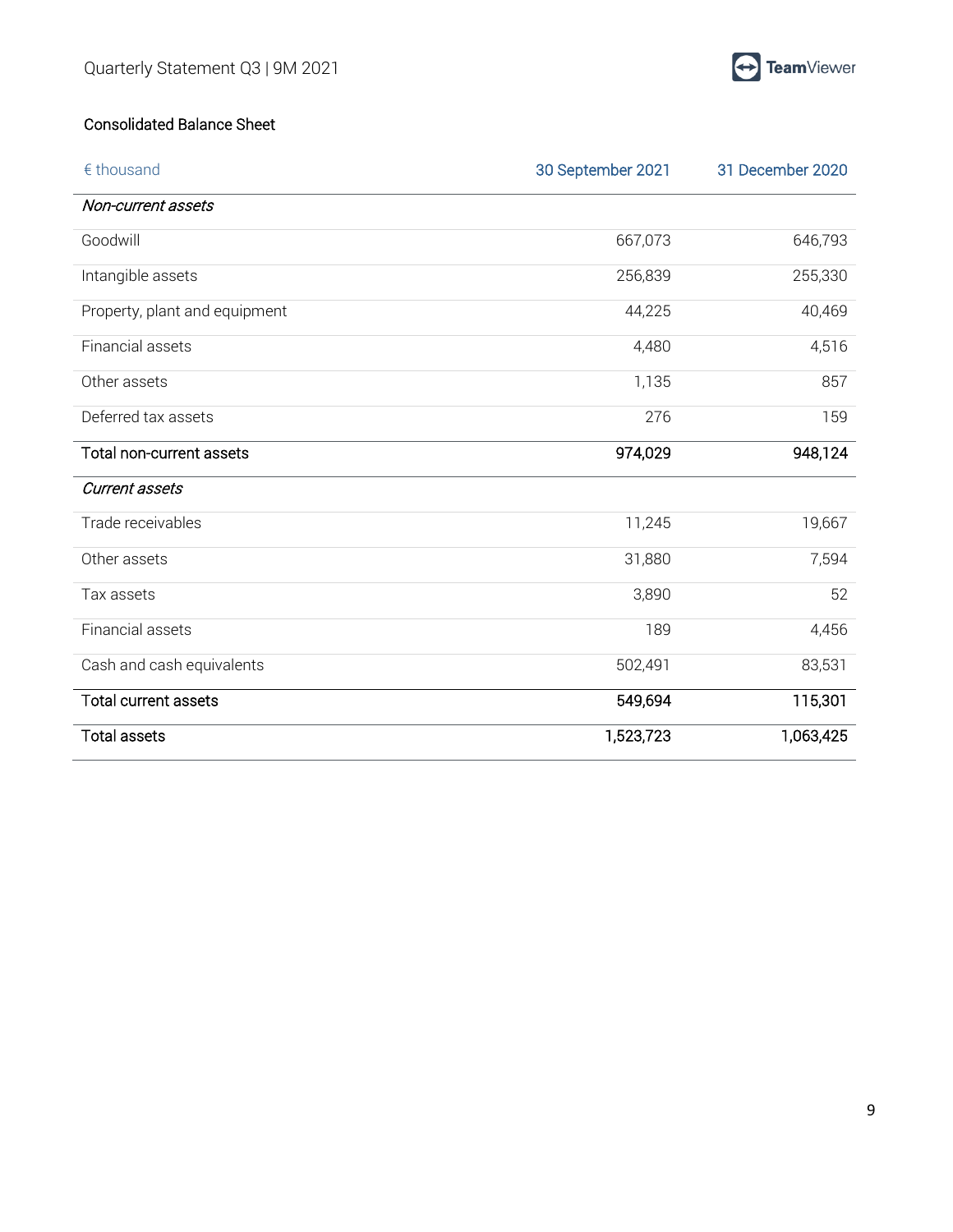

### Consolidated Balance Sheet

| $\epsilon$ thousand           | 30 September 2021 | 31 December 2020 |
|-------------------------------|-------------------|------------------|
| Non-current assets            |                   |                  |
| Goodwill                      | 667,073           | 646,793          |
| Intangible assets             | 256,839           | 255,330          |
| Property, plant and equipment | 44,225            | 40,469           |
| Financial assets              | 4,480             | 4,516            |
| Other assets                  | 1,135             | 857              |
| Deferred tax assets           | 276               | 159              |
| Total non-current assets      | 974,029           | 948,124          |
| <b>Current assets</b>         |                   |                  |
| Trade receivables             | 11,245            | 19,667           |
| Other assets                  | 31,880            | 7,594            |
| Tax assets                    | 3,890             | 52               |
| Financial assets              | 189               | 4,456            |
| Cash and cash equivalents     | 502,491           | 83,531           |
| <b>Total current assets</b>   | 549,694           | 115,301          |
| <b>Total assets</b>           | 1,523,723         | 1,063,425        |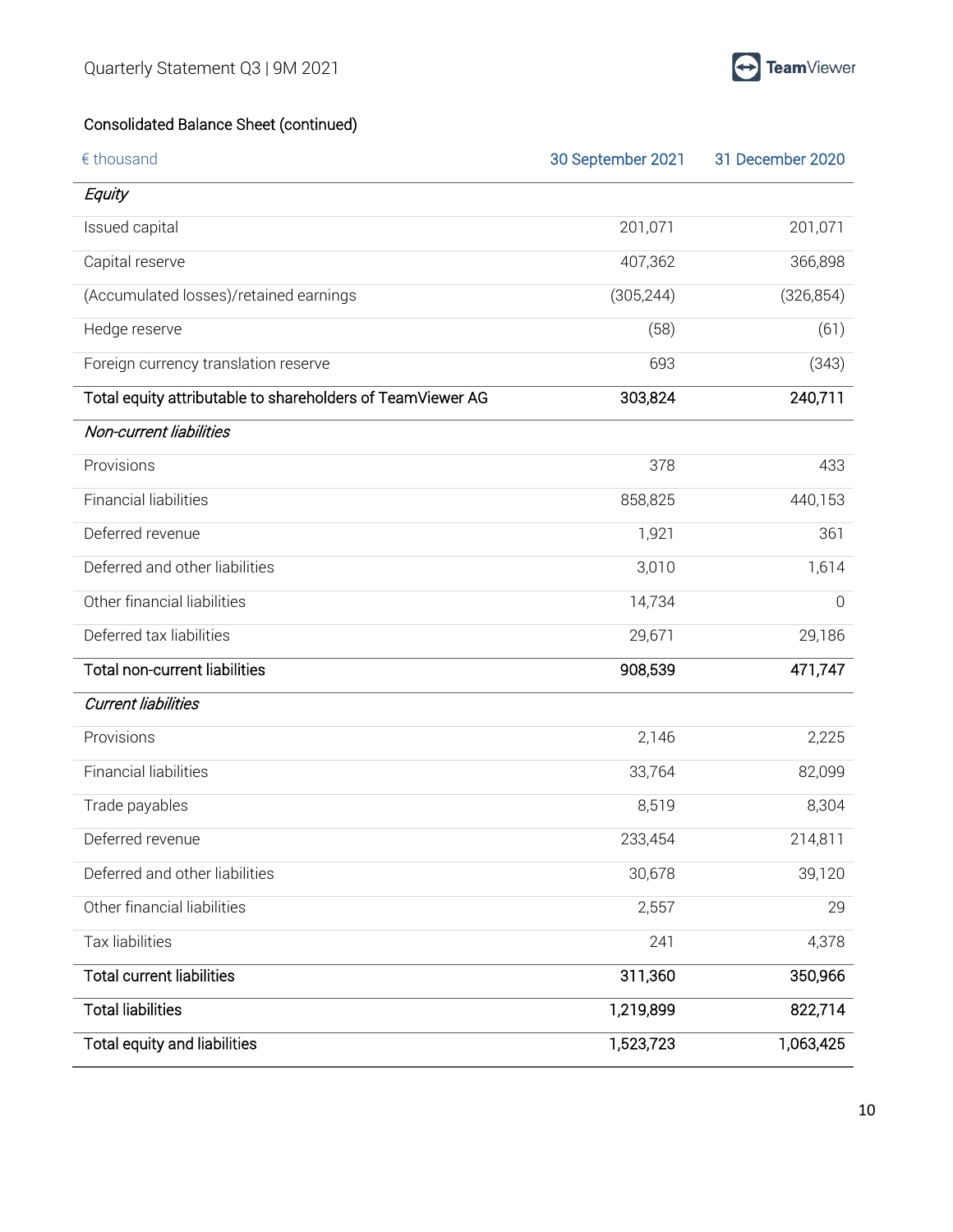

### Consolidated Balance Sheet (continued)

| € thousand                                                 | 30 September 2021 | 31 December 2020 |
|------------------------------------------------------------|-------------------|------------------|
| Equity                                                     |                   |                  |
| Issued capital                                             | 201,071           | 201,071          |
| Capital reserve                                            | 407,362           | 366,898          |
| (Accumulated losses)/retained earnings                     | (305, 244)        | (326, 854)       |
| Hedge reserve                                              | (58)              | (61)             |
| Foreign currency translation reserve                       | 693               | (343)            |
| Total equity attributable to shareholders of TeamViewer AG | 303,824           | 240,711          |
| Non-current liabilities                                    |                   |                  |
| Provisions                                                 | 378               | 433              |
| <b>Financial liabilities</b>                               | 858,825           | 440,153          |
| Deferred revenue                                           | 1,921             | 361              |
| Deferred and other liabilities                             | 3,010             | 1,614            |
| Other financial liabilities                                | 14,734            | $\overline{0}$   |
| Deferred tax liabilities                                   | 29,671            | 29,186           |
| <b>Total non-current liabilities</b>                       | 908,539           | 471,747          |
| <b>Current liabilities</b>                                 |                   |                  |
| Provisions                                                 | 2,146             | 2,225            |
| <b>Financial liabilities</b>                               | 33,764            | 82,099           |
| Trade payables                                             | 8,519             | 8,304            |
| Deferred revenue                                           | 233,454           | 214,811          |
| Deferred and other liabilities                             | 30,678            | 39,120           |
| Other financial liabilities                                | 2,557             | 29               |
| Tax liabilities                                            | 241               | 4,378            |
| <b>Total current liabilities</b>                           | 311,360           | 350,966          |
| <b>Total liabilities</b>                                   | 1,219,899         | 822,714          |
| Total equity and liabilities                               | 1,523,723         | 1,063,425        |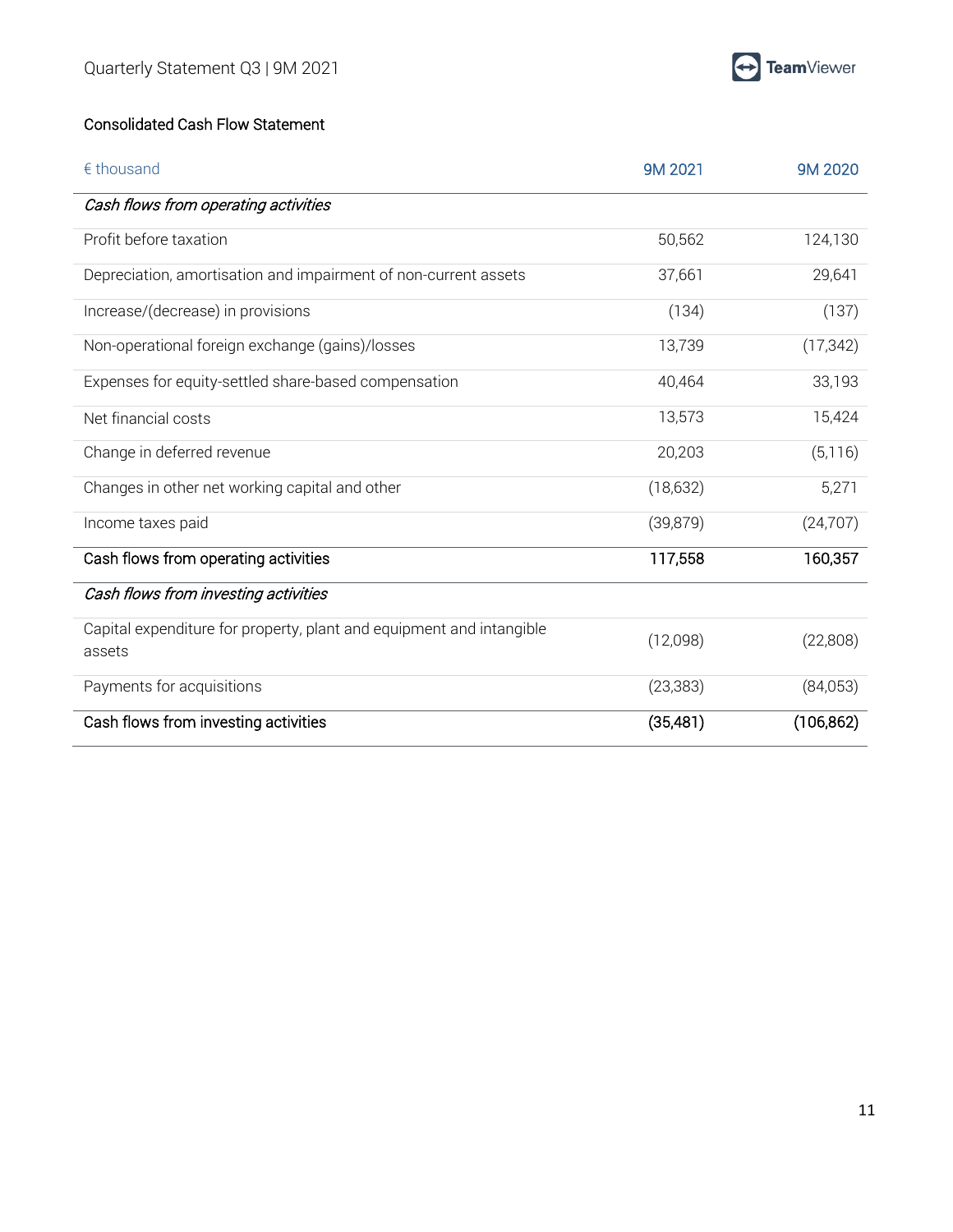

#### Consolidated Cash Flow Statement

| € thousand                                                                     | 9M 2021   | 9M 2020    |
|--------------------------------------------------------------------------------|-----------|------------|
| Cash flows from operating activities                                           |           |            |
| Profit before taxation                                                         | 50,562    | 124,130    |
| Depreciation, amortisation and impairment of non-current assets                | 37,661    | 29,641     |
| Increase/(decrease) in provisions                                              | (134)     | (137)      |
| Non-operational foreign exchange (gains)/losses                                | 13,739    | (17, 342)  |
| Expenses for equity-settled share-based compensation                           | 40,464    | 33,193     |
| Net financial costs                                                            | 13,573    | 15,424     |
| Change in deferred revenue                                                     | 20,203    | (5, 116)   |
| Changes in other net working capital and other                                 | (18, 632) | 5,271      |
| Income taxes paid                                                              | (39, 879) | (24, 707)  |
| Cash flows from operating activities                                           | 117,558   | 160,357    |
| Cash flows from investing activities                                           |           |            |
| Capital expenditure for property, plant and equipment and intangible<br>assets | (12,098)  | (22,808)   |
| Payments for acquisitions                                                      | (23, 383) | (84,053)   |
| Cash flows from investing activities                                           | (35,481)  | (106, 862) |